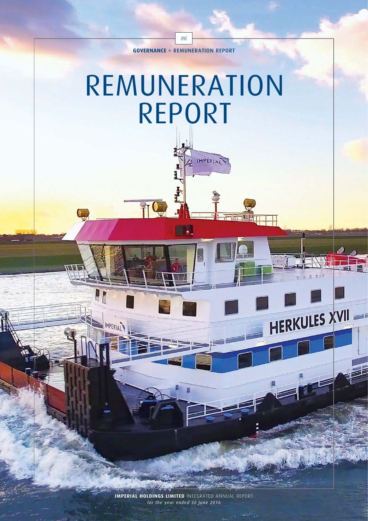86

# REMUNERATION REPORT

 $\overline{HQ}$ 

**IMPERIA** 

IMPERIAL

HERKULES XVII

**IMPERIAL HOLDINGS LIMITED** INTEGRATED ANNUAL REPORT *for the year ended 30 June 2016*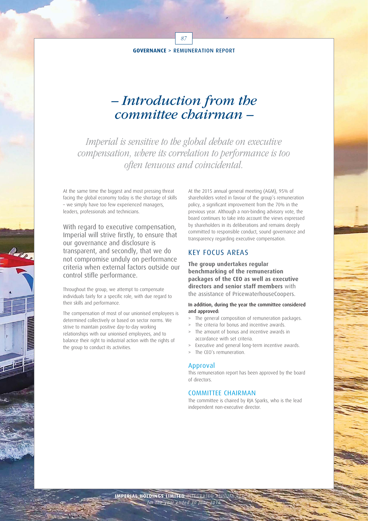87

### – Introduction from the committee chairman –

Imperial is sensitive to the global debate on executive compensation, where its correlation to performance is too often tenuous and coincidental.

At the same time the biggest and most pressing threat facing the global economy today is the shortage of skills – we simply have too few experienced managers, leaders, professionals and technicians.

With regard to executive compensation, Imperial will strive firstly, to ensure that our governance and disclosure is transparent, and secondly, that we do not compromise unduly on performance criteria when external factors outside our control stifle performance.

Throughout the group, we attempt to compensate individuals fairly for a specific role, with due regard to their skills and performance.

The compensation of most of our unionised employees is determined collectively or based on sector norms. We strive to maintain positive day-to-day working relationships with our unionised employees, and to balance their right to industrial action with the rights of the group to conduct its activities.

At the 2015 annual general meeting (AGM), 95% of shareholders voted in favour of the group's remuneration policy, a significant improvement from the 70% in the previous year. Although a non-binding advisory vote, the board continues to take into account the views expressed by shareholders in its deliberations and remains deeply committed to responsible conduct, sound governance and transparency regarding executive compensation.

### KEY FOCUS AREAS

**The group undertakes regular benchmarking of the remuneration packages of the CEO as well as executive directors and senior staff members** with the assistance of PricewaterhouseCoopers.

### In addition, during the year the committee considered and approved:

- The general composition of remuneration packages.
- The criteria for bonus and incentive awards.
- The amount of bonus and incentive awards in accordance with set criteria.
- Executive and general long-term incentive awards.
- > The CEO's remuneration.

### Approval

This remuneration report has been approved by the board of directors.

### COMMITTEE CHAIRMAN

The committee is chaired by RJA Sparks, who is the lead independent non-executive director.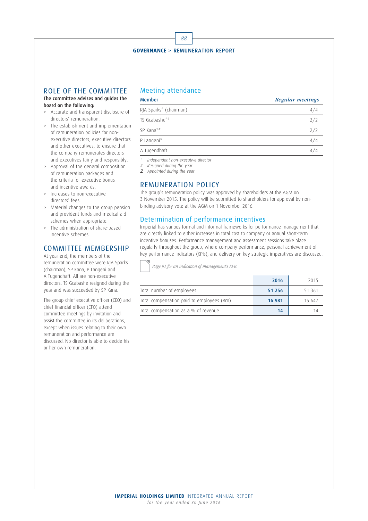

### ROLE OF THE COMMITTEE

The committee advises and guides the board on the following:

- > Accurate and transparent disclosure of directors' remuneration.
- > The establishment and implementation of remuneration policies for nonexecutive directors, executive directors and other executives, to ensure that the company remunerates directors and executives fairly and responsibly.
- > Approval of the general composition of remuneration packages and the criteria for executive bonus and incentive awards.
- > Increases to non-executive directors' fees.
- > Material changes to the group pension and provident funds and medical aid schemes when appropriate.
- > The administration of share-based incentive schemes.

### COMMITTEE MEMBERSHIP

At year end, the members of the remuneration committee were RJA Sparks (chairman), SP Kana, P Langeni and A Tugendhaft. All are non-executive directors. TS Gcabashe resigned during the year and was succeeded by SP Kana.

The group chief executive officer (CEO) and chief financial officer (CFO) attend committee meetings by invitation and assist the committee in its deliberations, except when issues relating to their own remuneration and performance are discussed. No director is able to decide his or her own remuneration.

### Meeting attendance

### Member Regular meetings

| RJA Sparks* (chairman) | 4/4 |
|------------------------|-----|
| TS Gcabashe*#          | 2/2 |
| SP Kana*z              | 2/2 |
| P Langeni*             |     |
| A Tugendhaft           |     |

Independent non-executive director

# Resigned during the year

 $Z$  Appointed during the year

### REMUNERATION POLICY

The group's remuneration policy was approved by shareholders at the AGM on 3 November 2015. The policy will be submitted to shareholders for approval by nonbinding advisory vote at the AGM on 1 November 2016.

### Determination of performance incentives

Imperial has various formal and informal frameworks for performance management that are directly linked to either increases in total cost to company or annual short-term incentive bonuses. Performance management and assessment sessions take place regularly throughout the group, where company performance, personal achievement of key performance indicators (KPIs), and delivery on key strategic imperatives are discussed.

Page 91 for an indication of management's KPIs.

|                                           | 2016   | 2015   |
|-------------------------------------------|--------|--------|
| Total number of employees                 | 51 256 | 51 361 |
| Total compensation paid to employees (Rm) | 16 981 | 15 647 |
| Total compensation as a % of revenue      | 14     |        |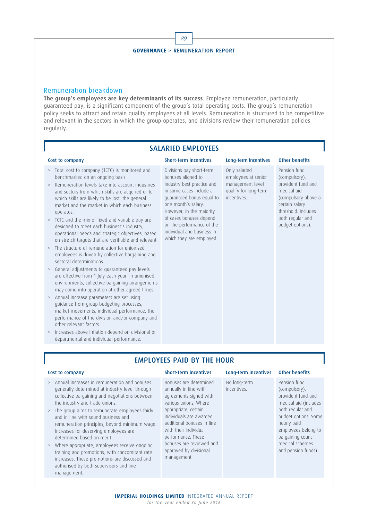

### Remuneration breakdown

**The group's employees are key determinants of its success**. Employee remuneration, particularly guaranteed pay, is a significant component of the group's total operating costs. The group's remuneration policy seeks to attract and retain quality employees at all levels. Remuneration is structured to be competitive and relevant in the sectors in which the group operates, and divisions review their remuneration policies regularly.

### SALARIED EMPLOYEES

which they are employed.

> Total cost to company (TCTC) is monitored and benchmarked on an ongoing basis.

- > Remuneration levels take into account industries and sectors from which skills are acquired or to which skills are likely to be lost, the general market and the market in which each business operates.
- > TCTC and the mix of fixed and variable pay are designed to meet each business's industry, operational needs and strategic objectives, based on stretch targets that are verifiable and relevant.
- > The structure of remuneration for unionised employees is driven by collective bargaining and sectoral determinations.
- > General adjustments to guaranteed pay levels are effective from 1 July each year. In unionised environments, collective bargaining arrangements may come into operation at other agreed times.
- > Annual increase parameters are set using guidance from group budgeting processes, market movements, individual performance, the performance of the division and/or company and other relevant factors.
- > Increases above inflation depend on divisional or departmental and individual performance.

### Divisions pay short-term bonuses aligned to industry best practice and in some cases include a guaranteed bonus equal to one month's salary. However, in the majority of cases bonuses depend on the performance of the individual and business in Only salaried employees at senior management level qualify for long-term incentives.

Cost to company Short-term incentives Long-term incentives Other benefits

Pension fund (compulsory), provident fund and medical aid (compulsory above a certain salary threshold. Includes both regular and budget options).

### EMPLOYEES PAID BY THE HOUR

- > Annual increases in remuneration and bonuses generally determined at industry level through collective bargaining and negotiations between the industry and trade unions.
- > The group aims to remunerate employees fairly and in line with sound business and remuneration principles, beyond minimum wage. Increases for deserving employees are determined based on merit.
- > Where appropriate, employees receive ongoing training and promotions, with concomitant rate increases. These promotions are discussed and authorised by both supervisors and line management.

### Cost to company Short-term incentives Long-term incentives Other benefits

Bonuses are determined annually in line with agreements signed with various unions. Where appropriate, certain individuals are awarded additional bonuses in line with their individual performance. These bonuses are reviewed and approved by divisional management.

No long-term incentives.

Pension fund (compulsory), provident fund and medical aid (includes both regular and budget options. Some hourly paid employees belong to bargaining council medical schemes and pension funds).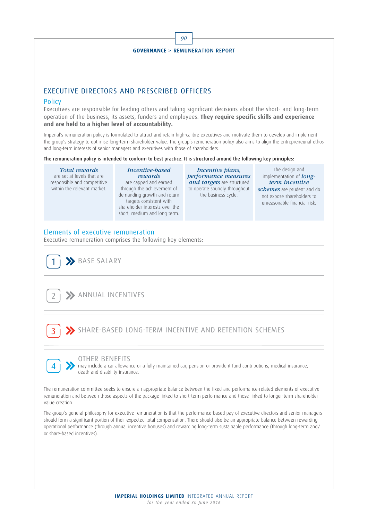

### EXECUTIVE DIRECTORS AND PRESCRIBED OFFICERS

### Policy

Executives are responsible for leading others and taking significant decisions about the short- and long-term operation of the business, its assets, funders and employees. **They require specific skills and experience and are held to a higher level of accountability.**

Imperial's remuneration policy is formulated to attract and retain high-calibre executives and motivate them to develop and implement the group's strategy to optimise long-term shareholder value. The group's remuneration policy also aims to align the entrepreneurial ethos and long-term interests of senior managers and executives with those of shareholders.

The remuneration policy is intended to conform to best practice. It is structured around the following key principles:

Total rewards are set at levels that are responsible and competitive within the relevant market. Incentive-based rewards are capped and earned through the achievement of demanding growth and return targets consistent with shareholder interests over the short, medium and long term. Incentive plans, performance measures and targets are structured to operate soundly throughout the business cycle. The design and implementation of  $long$ term incentive schemes are prudent and do not expose shareholders to unreasonable financial risk.

### Elements of executive remuneration

Executive remuneration comprises the following key elements:

BASE SALARY

4

**2> ANNUAL INCENTIVES** 

### 3 SHARE-BASED LONG-TERM INCENTIVE AND RETENTION SCHEMES

### OTHER BENEFITS

may include a car allowance or a fully maintained car, pension or provident fund contributions, medical insurance, death and disability insurance.

The remuneration committee seeks to ensure an appropriate balance between the fixed and performance-related elements of executive remuneration and between those aspects of the package linked to short-term performance and those linked to longer-term shareholder value creation.

The group's general philosophy for executive remuneration is that the performance-based pay of executive directors and senior managers should form a significant portion of their expected total compensation. There should also be an appropriate balance between rewarding operational performance (through annual incentive bonuses) and rewarding long-term sustainable performance (through long-term and/ or share-based incentives).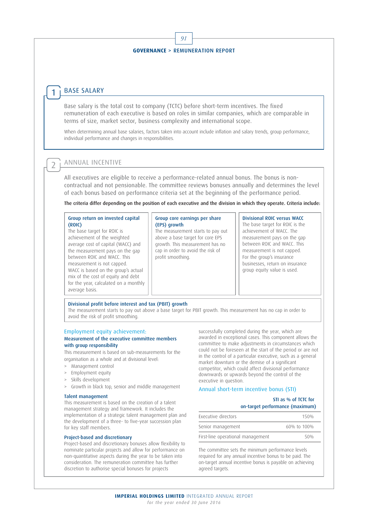91

### BASE SALARY

1

 $\overline{2}$ 

Base salary is the total cost to company (TCTC) before short-term incentives. The fixed remuneration of each executive is based on roles in similar companies, which are comparable in terms of size, market sector, business complexity and international scope.

When determining annual base salaries, factors taken into account include inflation and salary trends, group performance, individual performance and changes in responsibilities.

### ANNUAL INCENTIVE

All executives are eligible to receive a performance-related annual bonus. The bonus is noncontractual and not pensionable. The committee reviews bonuses annually and determines the level of each bonus based on performance criteria set at the beginning of the performance period.

The criteria differ depending on the position of each executive and the division in which they operate. Criteria include:

### Group return on invested capital (ROIC)

The base target for ROIC is achievement of the weighted average cost of capital (WACC) and the measurement pays on the gap between ROIC and WACC. This measurement is not capped. WACC is based on the group's actual mix of the cost of equity and debt for the year, calculated on a monthly average basis.

### Group core earnings per share (EPS) growth

The measurement starts to pay out above a base target for core EPS growth. This measurement has no cap in order to avoid the risk of profit smoothing.

### Divisional ROIC versus WACC

The base target for ROIC is the achievement of WACC. The measurement pays on the gap between ROIC and WACC. This measurement is not capped. For the group's insurance businesses, return on insurance group equity value is used.

### Divisional profit before interest and tax (PBIT) growth

The measurement starts to pay out above a base target for PBIT growth. This measurement has no cap in order to avoid the risk of profit smoothing.

### Employment equity achievement:

### Measurement of the executive committee members with group responsibility

This measurement is based on sub-measurements for the organisation as a whole and at divisional level:

- > Management control
- > Employment equity
- > Skills development
- > Growth in black top, senior and middle management

### Talent management

This measurement is based on the creation of a talent management strategy and framework. It includes the implementation of a strategic talent management plan and the development of a three- to five-year succession plan for key staff members.

### Project-based and discretionary

Project-based and discretionary bonuses allow flexibility to nominate particular projects and allow for performance on non-quantitative aspects during the year to be taken into consideration. The remuneration committee has further discretion to authorise special bonuses for projects

successfully completed during the year, which are awarded in exceptional cases. This component allows the committee to make adjustments in circumstances which could not be foreseen at the start of the period or are not in the control of a particular executive, such as a general market downturn or the demise of a significant competitor, which could affect divisional performance downwards or upwards beyond the control of the executive in question.

### Annual short-term incentive bonus (STI)

### STI as % of TCTC for on-target performance (maximum)

| Executive directors               | 150 <sub>%</sub> |
|-----------------------------------|------------------|
| Senior management                 | 60% to 100%      |
| First-line operational management | 50%              |

The committee sets the minimum performance levels required for any annual incentive bonus to be paid. The on-target annual incentive bonus is payable on achieving agreed targets.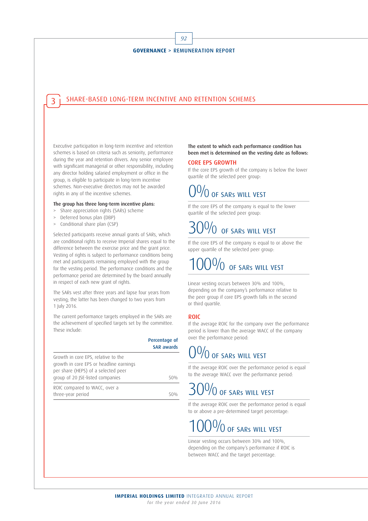92

### SHARE-BASED LONG-TERM INCENTIVE AND RETENTION SCHEMES 3

Executive participation in long-term incentive and retention schemes is based on criteria such as seniority, performance during the year and retention drivers. Any senior employee with significant managerial or other responsibility, including any director holding salaried employment or office in the group, is eligible to participate in long-term incentive schemes. Non-executive directors may not be awarded rights in any of the incentive schemes.

### The group has three long-term incentive plans:

- > Share appreciation rights (SARs) scheme
- > Deferred bonus plan (DBP)
- > Conditional share plan (CSP)

Selected participants receive annual grants of SARs, which are conditional rights to receive Imperial shares equal to the difference between the exercise price and the grant price. Vesting of rights is subject to performance conditions being met and participants remaining employed with the group for the vesting period. The performance conditions and the performance period are determined by the board annually in respect of each new grant of rights.

The SARs vest after three years and lapse four years from vesting; the latter has been changed to two years from 1 July 2016.

The current performance targets employed in the SARs are the achievement of specified targets set by the committee. These include:

|                                                                                                                                                           | Percentage of<br><b>SAR awards</b> |
|-----------------------------------------------------------------------------------------------------------------------------------------------------------|------------------------------------|
| Growth in core EPS, relative to the<br>growth in core EPS or headline earnings<br>per share (HEPS) of a selected peer<br>group of 20 JSE-listed companies | 50%                                |
| ROIC compared to WACC, over a<br>three-year period                                                                                                        |                                    |

### The extent to which each performance condition has been met is determined on the vesting date as follows:

### CORE EPS GROWTH

If the core EPS growth of the company is below the lower quartile of the selected peer group:

## $\%$  of sars will vest

If the core EPS of the company is equal to the lower quartile of the selected peer group:

## $\bigcap \mathbb{O}_{\mathbb{O}}$  of sars will vest

If the core EPS of the company is equal to or above the upper quartile of the selected peer group:

## $10\%$  of sars will vest

Linear vesting occurs between 30% and 100%, depending on the company's performance relative to the peer group if core EPS growth falls in the second or third quartile.

### ROIC

If the average ROIC for the company over the performance period is lower than the average WACC of the company over the performance period:

## $0/0$  of SARs WILL VEST

If the average ROIC over the performance period is equal to the average WACC over the performance period:

### $\frac{10}{0}$  of SARs WILL VEST

If the average ROIC over the performance period is equal to or above a pre-determined target percentage:

## $\sqrt{0}$  of SARs WILL VEST

Linear vesting occurs between 30% and 100%, depending on the company's performance if ROIC is between WACC and the target percentage.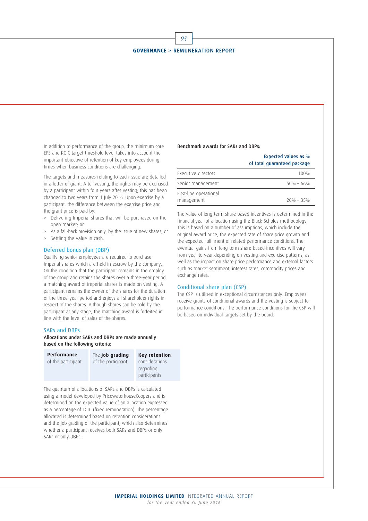93

In addition to performance of the group, the minimum core EPS and ROIC target threshold level takes into account the important objective of retention of key employees during times when business conditions are challenging.

The targets and measures relating to each issue are detailed in a letter of grant. After vesting, the rights may be exercised by a participant within four years after vesting; this has been changed to two years from 1 July 2016. Upon exercise by a participant, the difference between the exercise price and the grant price is paid by:

- > Delivering Imperial shares that will be purchased on the open market; or
- > As a fall-back provision only, by the issue of new shares; or
- > Settling the value in cash.

### Deferred bonus plan (DBP)

Qualifying senior employees are required to purchase Imperial shares which are held in escrow by the company. On the condition that the participant remains in the employ of the group and retains the shares over a three-year period, a matching award of Imperial shares is made on vesting. A participant remains the owner of the shares for the duration of the three-year period and enjoys all shareholder rights in respect of the shares. Although shares can be sold by the participant at any stage, the matching award is forfeited in line with the level of sales of the shares.

### SARs and DBPs

### Allocations under SARs and DBPs are made annually based on the following criteria:

| Performance        | The job grading    | <b>Key retention</b> |
|--------------------|--------------------|----------------------|
| of the participant | of the participant | considerations       |
|                    |                    | regarding            |
|                    |                    | participants         |

The quantum of allocations of SARs and DBPs is calculated using a model developed by PricewaterhouseCoopers and is determined on the expected value of an allocation expressed as a percentage of TCTC (fixed remuneration). The percentage allocated is determined based on retention considerations and the job grading of the participant, which also determines whether a participant receives both SARs and DBPs or only SARs or only DBPs.

### Benchmark awards for SARs and DBPs:

| <b>Expected values as %</b> |
|-----------------------------|
| of total quaranteed package |
| .                           |

| Executive directors                  | 100%          |
|--------------------------------------|---------------|
| Senior management                    | $50\% - 66\%$ |
| First-line operational<br>management | $20\% - 35\%$ |

The value of long-term share-based incentives is determined in the financial year of allocation using the Black-Scholes methodology. This is based on a number of assumptions, which include the original award price, the expected rate of share price growth and the expected fulfilment of related performance conditions. The eventual gains from long-term share-based incentives will vary from year to year depending on vesting and exercise patterns, as well as the impact on share price performance and external factors such as market sentiment, interest rates, commodity prices and exchange rates.

### Conditional share plan (CSP)

The CSP is utilised in exceptional circumstances only. Employees receive grants of conditional awards and the vesting is subject to performance conditions. The performance conditions for the CSP will be based on individual targets set by the board.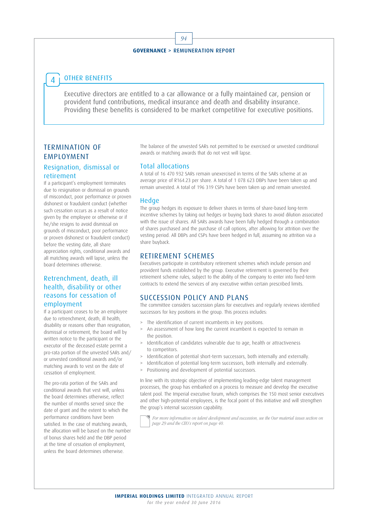94

### OTHER BENEFITS 4

Executive directors are entitled to a car allowance or a fully maintained car, pension or provident fund contributions, medical insurance and death and disability insurance. Providing these benefits is considered to be market competitive for executive positions.

### TERMINATION OF EMPLOYMENT

### Resignation, dismissal or retirement

If a participant's employment terminates due to resignation or dismissal on grounds of misconduct, poor performance or proven dishonest or fraudulent conduct (whether such cessation occurs as a result of notice given by the employee or otherwise or if he/she resigns to avoid dismissal on grounds of misconduct, poor performance or proven dishonest or fraudulent conduct) before the vesting date, all share appreciation rights, conditional awards and all matching awards will lapse, unless the board determines otherwise.

### Retrenchment, death, ill health, disability or other reasons for cessation of employment

If a participant ceases to be an employee due to retrenchment, death, ill health, disability or reasons other than resignation, dismissal or retirement, the board will by written notice to the participant or the executor of the deceased estate permit a pro-rata portion of the unvested SARs and/ or unvested conditional awards and/or matching awards to vest on the date of cessation of employment.

The pro-rata portion of the SARs and conditional awards that vest will, unless the board determines otherwise, reflect the number of months served since the date of grant and the extent to which the performance conditions have been satisfied. In the case of matching awards, the allocation will be based on the number of bonus shares held and the DBP period at the time of cessation of employment, unless the board determines otherwise.

The balance of the unvested SARs not permitted to be exercised or unvested conditional awards or matching awards that do not vest will lapse.

### Total allocations

A total of 16 470 932 SARs remain unexercised in terms of the SARs scheme at an average price of R164.23 per share. A total of 1 078 623 DBPs have been taken up and remain unvested. A total of 196 319 CSPs have been taken up and remain unvested.

### **Hedge**

The group hedges its exposure to deliver shares in terms of share-based long-term incentive schemes by taking out hedges or buying back shares to avoid dilution associated with the issue of shares. All SARs awards have been fully hedged through a combination of shares purchased and the purchase of call options, after allowing for attrition over the vesting period. All DBPs and CSPs have been hedged in full, assuming no attrition via a share buyback.

### RETIREMENT SCHEMES

Executives participate in contributory retirement schemes which include pension and provident funds established by the group. Executive retirement is governed by their retirement scheme rules, subject to the ability of the company to enter into fixed-term contracts to extend the services of any executive within certain prescribed limits.

### SUCCESSION POLICY AND PLANS

The committee considers succession plans for executives and regularly reviews identified successors for key positions in the group. This process includes:

- > The identification of current incumbents in key positions.
- > An assessment of how long the current incumbent is expected to remain in the position.
- > Identification of candidates vulnerable due to age, health or attractiveness to competitors.
- > Identification of potential short-term successors, both internally and externally.
- > Identification of potential long-term successors, both internally and externally.
- > Positioning and development of potential successors.

In line with its strategic objective of implementing leading-edge talent management processes, the group has embarked on a process to measure and develop the executive talent pool. The Imperial executive forum, which comprises the 150 most senior executives and other high-potential employees, is the focal point of this initiative and will strengthen the group's internal succession capability.

For more information on talent development and succession, see the Our material issues section on page 29 and the CEO's report on page 40.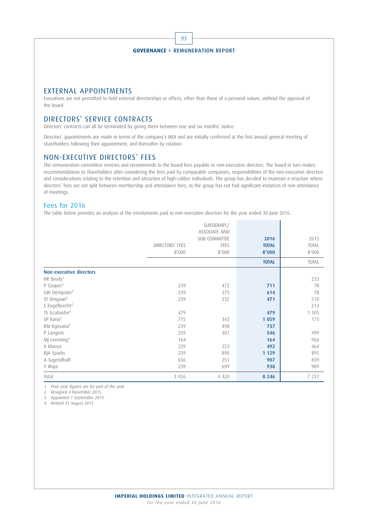

### EXTERNAL APPOINTMENTS

Executives are not permitted to hold external directorships or offices, other than those of a personal nature, without the approval of the board.

### DIRECTORS' SERVICE CONTRACTS

Directors' contracts can all be terminated by giving them between one and six months' notice.

Directors' appointments are made in terms of the company's MOI and are initially confirmed at the first annual general meeting of shareholders following their appointment, and thereafter by rotation.

### NON-EXECUTIVE DIRECTORS' FEES

The remuneration committee reviews and recommends to the board fees payable to non-executive directors. The board in turn makes recommendations to shareholders after considering the fees paid by comparable companies, responsibilities of the non-executive directors and considerations relating to the retention and attraction of high-calibre individuals. The group has decided to maintain a structure where directors' fees are not split between membership and attendance fees, as the group has not had significant instances of non-attendance of meetings.

### Fees for 2016

The table below provides an analysis of the emoluments paid to non-executive directors for the year ended 30 June 2016.

|                                |                 | ASSOCIATE AND<br>SUB-COMMITTEE | 2016         | 2015         |
|--------------------------------|-----------------|--------------------------------|--------------|--------------|
|                                | DIRECTORS' FEES | FEES                           | <b>TOTAL</b> | <b>TOTAL</b> |
|                                | R'000           | R'000                          | R'000        | R'000        |
|                                |                 |                                | <b>TOTAL</b> | <b>TOTAL</b> |
| <b>Non-executive directors</b> |                 |                                |              |              |
| HR Brody <sup>1</sup>          |                 |                                |              | 233          |
| P Cooper <sup>3</sup>          | 239             | 472                            | 711          | 78           |
| GW Dempster <sup>3</sup>       | 239             | 375                            | 614          | 78           |
| ST Dingaan <sup>5</sup>        | 239             | 232                            | 471          | 510          |
| S Engelbrecht <sup>2</sup>     |                 |                                |              | 214          |
| TS Gcabashe <sup>4</sup>       | 479             |                                | 479          | 1 3 0 5      |
| SP Kana <sup>3</sup>           | 715             | 343                            | 1 0 5 9      | 173          |
| RM Kgosana <sup>3</sup>        | 239             | 498                            | 737          |              |
| P Langeni                      | 239             | 307                            | 546          | 499          |
| MJ Leeming <sup>4</sup>        | 164             |                                | 164          | 960          |
| V Moosa                        | 239             | 253                            | 492          | 464          |
| RJA Sparks                     | 239             | 890                            | 1 1 2 9      | 895          |
| A Tugendhaft                   | 656             | 251                            | 907          | 839          |
| Y Waja                         | 239             | 699                            | 938          | 989          |
| Total                          | 3 9 2 6         | 4 3 2 0                        | 8 2 4 6      | 7 2 3 7      |

1. Prior year figures are for part of the year.

2. Resigned 4 November 2015.

3. Appointed 1 September 2015.

4. Retired 31 August 2015.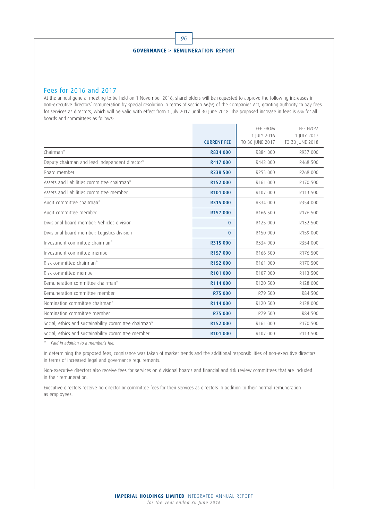96

### Fees for 2016 and 2017

At the annual general meeting to be held on 1 November 2016, shareholders will be requested to approve the following increases in non-executive directors' remuneration by special resolution in terms of section 66(9) of the Companies Act, granting authority to pay fees for services as directors, which will be valid with effect from 1 July 2017 until 30 June 2018. The proposed increase in fees is 6% for all boards and committees as follows:

|                                                       |                    | FFF FROM             | FFF FROM        |
|-------------------------------------------------------|--------------------|----------------------|-----------------|
|                                                       |                    | 1 JULY 2016          | 1 IULY 2017     |
|                                                       | <b>CURRENT FEE</b> | TO 30 JUNE 2017      | TO 30 JUNE 2018 |
| Chairman*                                             | R834 000           | R884 000             | R937 000        |
| Deputy chairman and lead Independent director*        | R417 000           | R442 000             | R468 500        |
| Board member                                          | R238 500           | R253 000             | R268 000        |
| Assets and liabilities committee chairman*            | R152 000           | R161 000             | R170 500        |
| Assets and liabilities committee member               | R101 000           | R107 000             | R113 500        |
| Audit committee chairman*                             | R315 000           | R334 000             | R354 000        |
| Audit committee member                                | R157 000           | R166 500             | R176 500        |
| Divisional board member: Vehicles division            | $\Omega$           | R125 000             | R132 500        |
| Divisional board member: Logistics division           | $\mathbf{0}$       | R150 000             | R159 000        |
| Investment committee chairman*                        | R315 000           | R334 000             | R354 000        |
| Investment committee member                           | R157 000           | R166 500             | R176 500        |
| Risk committee chairman*                              | R152 000           | R <sub>161</sub> 000 | R170 500        |
| Risk committee member                                 | R101 000           | R107 000             | R113 500        |
| Remuneration committee chairman*                      | R114 000           | R120 500             | R128 000        |
| Remuneration committee member                         | R75 000            | R79 500              | R84 500         |
| Nomination committee chairman*                        | R114 000           | R120 500             | R128 000        |
| Nomination committee member                           | R75 000            | R79 500              | R84 500         |
| Social, ethics and sustainability committee chairman* | R152 000           | R161 000             | R170 500        |
| Social, ethics and sustainability committee member    | R101 000           | R107 000             | R113 500        |

\* Paid in addition to a member's fee.

In determining the proposed fees, cognisance was taken of market trends and the additional responsibilities of non-executive directors in terms of increased legal and governance requirements.

Non-executive directors also receive fees for services on divisional boards and financial and risk review committees that are included in their remuneration.

Executive directors receive no director or committee fees for their services as directors in addition to their normal remuneration as employees.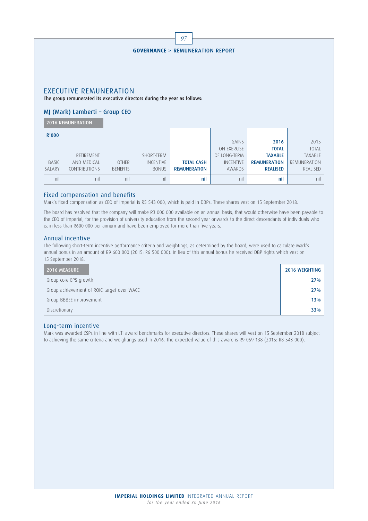|              |                                                                           |                 |                  | 97                                         |                  |                     |                |
|--------------|---------------------------------------------------------------------------|-----------------|------------------|--------------------------------------------|------------------|---------------------|----------------|
|              |                                                                           |                 |                  |                                            |                  |                     |                |
|              |                                                                           |                 |                  | <b>GOVERNANCE &gt; REMUNERATION REPORT</b> |                  |                     |                |
|              |                                                                           |                 |                  |                                            |                  |                     |                |
|              |                                                                           |                 |                  |                                            |                  |                     |                |
|              |                                                                           |                 |                  |                                            |                  |                     |                |
|              |                                                                           |                 |                  |                                            |                  |                     |                |
|              | <b>EXECUTIVE REMUNERATION</b>                                             |                 |                  |                                            |                  |                     |                |
|              | The group remunerated its executive directors during the year as follows: |                 |                  |                                            |                  |                     |                |
|              | MJ (Mark) Lamberti - Group CEO                                            |                 |                  |                                            |                  |                     |                |
|              |                                                                           |                 |                  |                                            |                  |                     |                |
|              | <b>2016 REMUNERATION</b>                                                  |                 |                  |                                            |                  |                     |                |
| R'000        |                                                                           |                 |                  |                                            |                  |                     |                |
|              |                                                                           |                 |                  |                                            | GAINS            | 2016                | 2015           |
|              |                                                                           |                 |                  |                                            | ON EXERCISE      | <b>TOTAL</b>        | <b>TOTAL</b>   |
|              | RETIREMENT                                                                |                 | SHORT-TERM       |                                            | OF LONG-TERM     | <b>TAXABLE</b>      | <b>TAXABLE</b> |
| <b>BASIC</b> | AND MEDICAL                                                               | <b>OTHER</b>    | <b>INCENTIVE</b> | <b>TOTAL CASH</b>                          | <b>INCENTIVE</b> | <b>REMUNERATION</b> | REMUNERATION   |
| SALARY       | <b>CONTRIBUTIONS</b>                                                      | <b>BENEFITS</b> | <b>BONUS</b>     | <b>REMUNERATION</b>                        | AWARDS           | <b>REALISED</b>     | REALISED       |
| nil          | nil                                                                       | nil             | nil              | nil                                        | nil              | nil                 | nil            |

Mark's fixed compensation as CEO of Imperial is R5 543 000, which is paid in DBPs. These shares vest on 15 September 2018.

The board has resolved that the company will make R3 000 000 available on an annual basis, that would otherwise have been payable to the CEO of Imperial, for the provision of university education from the second year onwards to the direct descendants of individuals who earn less than R600 000 per annum and have been employed for more than five years.

### Annual incentive

The following short-term incentive performance criteria and weightings, as determined by the board, were used to calculate Mark's annual bonus in an amount of R9 600 000 (2015: R6 500 000). In lieu of this annual bonus he received DBP rights which vest on 15 September 2018.

| <b>2016 MEASURE</b>                        | <b>2016 WEIGHTING</b> |
|--------------------------------------------|-----------------------|
| Group core EPS growth                      | 27%                   |
| Group achievement of ROIC target over WACC | 27%                   |
| Group BBBEE improvement                    | 13%                   |
| Discretionary                              | 33%                   |

### Long-term incentive

Mark was awarded CSPs in line with LTI award benchmarks for executive directors. These shares will vest on 15 September 2018 subject to achieving the same criteria and weightings used in 2016. The expected value of this award is R9 059 138 (2015: R8 543 000).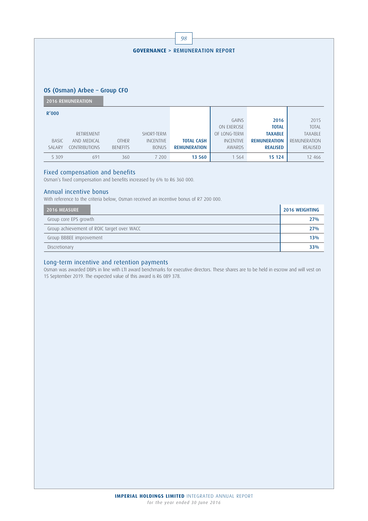|  | <b>GOVERNANCE &gt; REMUNERATION REPORT</b> |  |
|--|--------------------------------------------|--|
|  |                                            |  |

98

### OS (Osman) Arbee – Group CFO

2016 REMUNERATION

| R'000          |                      |                 |                  |                     |                  |                     |                |
|----------------|----------------------|-----------------|------------------|---------------------|------------------|---------------------|----------------|
|                |                      |                 |                  |                     | GAINS            | 2016                | 2015           |
|                |                      |                 |                  |                     | ON EXERCISE      | <b>TOTAL</b>        | <b>TOTAL</b>   |
|                | RETIREMENT           |                 | SHORT-TERM       |                     | OF LONG-TERM     | <b>TAXABLE</b>      | <b>TAXABLE</b> |
| <b>BASIC</b>   | AND MEDICAL          | <b>OTHER</b>    | <b>INCENTIVE</b> | <b>TOTAL CASH</b>   | <b>INCENTIVE</b> | <b>REMUNERATION</b> | REMUNERATION   |
| <b>SAI ARY</b> | <b>CONTRIBUTIONS</b> | <b>BENEFITS</b> | <b>BONUS</b>     | <b>REMUNERATION</b> | AWARDS           | <b>REALISED</b>     | REALISED       |
| 5 3 0 9        | 691                  | 360             | 7 200            | 13 560              | 1 5 6 4          | 15 124              | 12 466         |

### Fixed compensation and benefits

Osman's fixed compensation and benefits increased by 6% to R6 360 000.

### Annual incentive bonus

With reference to the criteria below, Osman received an incentive bonus of R7 200 000.

| 2016 MEASURE                               | <b>2016 WEIGHTING</b> |
|--------------------------------------------|-----------------------|
| Group core EPS growth                      | 27%                   |
| Group achievement of ROIC target over WACC | 27%                   |
| Group BBBEE improvement                    | 13%                   |
| Discretionary                              | 33%                   |

### Long-term incentive and retention payments

Osman was awarded DBPs in line with LTI award benchmarks for executive directors. These shares are to be held in escrow and will vest on 15 September 2019. The expected value of this award is R6 089 378.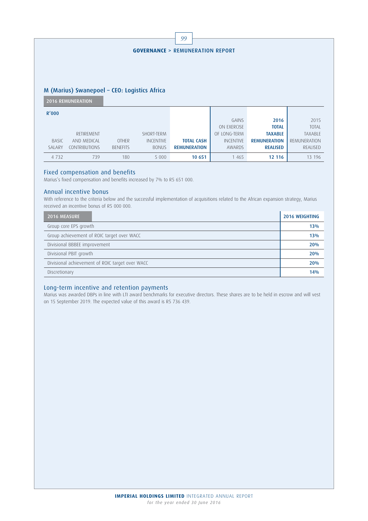|                                              | 99 |  |  |  |
|----------------------------------------------|----|--|--|--|
|                                              |    |  |  |  |
| <b>GOVERNANCE &gt; REMUNERATION REPORT</b>   |    |  |  |  |
|                                              |    |  |  |  |
|                                              |    |  |  |  |
|                                              |    |  |  |  |
| M (Marius) Swanepoel - CEO: Logistics Africa |    |  |  |  |
| <b>2016 REMUNERATION</b>                     |    |  |  |  |
| D/000                                        |    |  |  |  |

| R'000          |               |                 |                  |                     |                  |                     |                |
|----------------|---------------|-----------------|------------------|---------------------|------------------|---------------------|----------------|
|                |               |                 |                  |                     | GAINS            | 2016                | 2015           |
|                |               |                 |                  |                     | ON EXERCISE      | <b>TOTAL</b>        | <b>TOTAL</b>   |
|                | RETIREMENT    |                 | SHORT-TERM       |                     | OF LONG-TERM     | <b>TAXABLE</b>      | <b>TAXABLE</b> |
| <b>BASIC</b>   | AND MEDICAL   | <b>OTHER</b>    | <b>INCENTIVE</b> | <b>TOTAL CASH</b>   | <b>INCENTIVE</b> | <b>REMUNERATION</b> | REMUNERATION   |
| <b>SAI ARY</b> | CONTRIBUTIONS | <b>BENFFITS</b> | <b>BONUS</b>     | <b>REMUNERATION</b> | AWARDS           | <b>REALISED</b>     | REALISED       |
| 4 7 3 2        | 739           | 180             | 5 0 0 0          | 10 651              | 1 4 6 5          | 12 116              | 13 196         |

Marius's fixed compensation and benefits increased by 7% to R5 651 000.

### Annual incentive bonus

With reference to the criteria below and the successful implementation of acquisitions related to the African expansion strategy, Marius received an incentive bonus of R5 000 000.

| 2016 MEASURE                                    | <b>2016 WEIGHTING</b> |  |  |
|-------------------------------------------------|-----------------------|--|--|
| Group core EPS growth                           | 13%                   |  |  |
| Group achievement of ROIC target over WACC      |                       |  |  |
| Divisional BBBEE improvement                    | 20%                   |  |  |
| Divisional PBIT growth                          | 20%                   |  |  |
| Divisional achievement of ROIC target over WACC | 20%                   |  |  |
| Discretionary                                   | 14%                   |  |  |

### Long-term incentive and retention payments

Marius was awarded DBPs in line with LTI award benchmarks for executive directors. These shares are to be held in escrow and will vest on 15 September 2019. The expected value of this award is R5 736 439.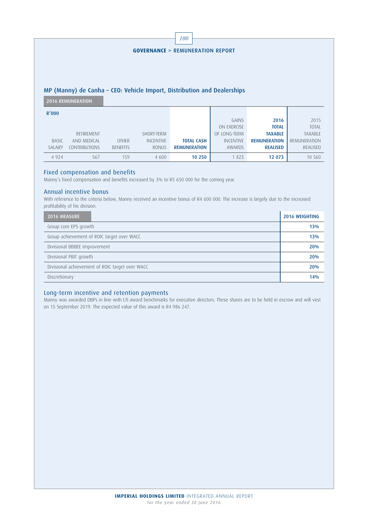|         |                          |                 |                  | 100                                                                     |                  |                      |                |
|---------|--------------------------|-----------------|------------------|-------------------------------------------------------------------------|------------------|----------------------|----------------|
|         |                          |                 |                  |                                                                         |                  |                      |                |
|         |                          |                 |                  | <b>GOVERNANCE &gt; REMUNERATION REPORT</b>                              |                  |                      |                |
|         |                          |                 |                  |                                                                         |                  |                      |                |
|         |                          |                 |                  |                                                                         |                  |                      |                |
|         |                          |                 |                  |                                                                         |                  |                      |                |
|         |                          |                 |                  |                                                                         |                  |                      |                |
|         |                          |                 |                  |                                                                         |                  |                      |                |
|         |                          |                 |                  | MP (Manny) de Canha - CEO: Vehicle Import, Distribution and Dealerships |                  |                      |                |
|         | <b>2016 REMUNERATION</b> |                 |                  |                                                                         |                  |                      |                |
|         |                          |                 |                  |                                                                         |                  |                      |                |
| R'000   |                          |                 |                  |                                                                         | GAINS            |                      | 2015           |
|         |                          |                 |                  |                                                                         | ON EXERCISE      | 2016<br><b>TOTAL</b> | <b>TOTAL</b>   |
|         |                          |                 |                  |                                                                         |                  |                      |                |
|         | RETIREMENT               |                 | SHORT-TERM       |                                                                         | OF LONG-TERM     | <b>TAXABLE</b>       | <b>TAXABLE</b> |
| BASIC   | AND MEDICAL              | <b>OTHER</b>    | <b>INCENTIVE</b> | <b>TOTAL CASH</b>                                                       | <b>INCENTIVE</b> | <b>REMUNERATION</b>  | REMUNERATION   |
| SALARY  | CONTRIBUTIONS            | <b>BENEFITS</b> | <b>BONUS</b>     | <b>REMUNERATION</b>                                                     | AWARDS           | <b>REALISED</b>      | REALISED       |
| 4 9 2 4 | 567                      | 159             | 4 600            | 10 250                                                                  | 1823             | 12 073               | 10 560         |

Manny's fixed compensation and benefits increased by 3% to R5 650 000 for the coming year.

### Annual incentive bonus

With reference to the criteria below, Manny received an incentive bonus of R4 600 000. The increase is largely due to the increased profitability of his division.

| 2016 MEASURE                               |                                                 | <b>2016 WEIGHTING</b> |
|--------------------------------------------|-------------------------------------------------|-----------------------|
| Group core EPS growth                      |                                                 | 13%                   |
| Group achievement of ROIC target over WACC | 13%                                             |                       |
| Divisional BBBEE improvement               |                                                 | 20%                   |
| Divisional PBIT growth                     |                                                 | 20%                   |
|                                            | Divisional achievement of ROIC target over WACC | 20%                   |
| Discretionary                              |                                                 | 14%                   |

### Long-term incentive and retention payments

Manny was awarded DBPs in line with LTI award benchmarks for executive directors. These shares are to be held in escrow and will vest on 15 September 2019. The expected value of this award is R4 986 247.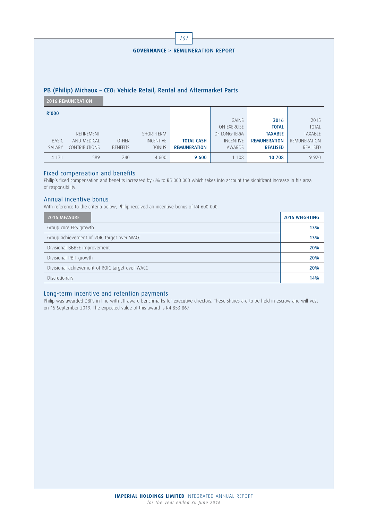|              |                          |                 |                  | 101                                                                     |                  |                     |              |
|--------------|--------------------------|-----------------|------------------|-------------------------------------------------------------------------|------------------|---------------------|--------------|
|              |                          |                 |                  |                                                                         |                  |                     |              |
|              |                          |                 |                  | <b>GOVERNANCE &gt; REMUNERATION REPORT</b>                              |                  |                     |              |
|              |                          |                 |                  |                                                                         |                  |                     |              |
|              |                          |                 |                  |                                                                         |                  |                     |              |
|              |                          |                 |                  |                                                                         |                  |                     |              |
|              |                          |                 |                  |                                                                         |                  |                     |              |
|              |                          |                 |                  | PB (Philip) Michaux - CEO: Vehicle Retail, Rental and Aftermarket Parts |                  |                     |              |
|              |                          |                 |                  |                                                                         |                  |                     |              |
|              | <b>2016 REMUNERATION</b> |                 |                  |                                                                         |                  |                     |              |
|              |                          |                 |                  |                                                                         |                  |                     |              |
| R'000        |                          |                 |                  |                                                                         |                  |                     |              |
|              |                          |                 |                  |                                                                         | GAINS            | 2016                | 2015         |
|              |                          |                 |                  |                                                                         | ON EXERCISE      | <b>TOTAL</b>        | <b>TOTAL</b> |
|              | RETIREMENT               |                 | SHORT-TERM       |                                                                         | OF LONG-TERM     | <b>TAXABLE</b>      | TAXABLE      |
| <b>BASIC</b> | AND MEDICAL              | <b>OTHER</b>    | <b>INCENTIVE</b> | <b>TOTAL CASH</b>                                                       | <b>INCENTIVE</b> | <b>REMUNERATION</b> | REMUNERATION |
| SALARY       | <b>CONTRIBUTIONS</b>     | <b>BENEFITS</b> | <b>BONUS</b>     | <b>REMUNERATION</b>                                                     | AWARDS           | <b>REALISED</b>     | REALISED     |
| 4 1 7 1      | 589                      | 240             | 4 600            | 9 600                                                                   | 1 108            | 10 708              | 9 9 2 0      |

Philip's fixed compensation and benefits increased by 6% to R5 000 000 which takes into account the significant increase in his area of responsibility.

### Annual incentive bonus

With reference to the criteria below, Philip received an incentive bonus of R4 600 000.

| <b>2016 MEASURE</b>                        |                                                 | <b>2016 WEIGHTING</b> |  |
|--------------------------------------------|-------------------------------------------------|-----------------------|--|
| Group core EPS growth                      |                                                 | 13%                   |  |
| Group achievement of ROIC target over WACC |                                                 |                       |  |
| Divisional BBBEE improvement               |                                                 | 20%                   |  |
| Divisional PBIT growth                     |                                                 | 20%                   |  |
|                                            | Divisional achievement of ROIC target over WACC | 20%                   |  |
| Discretionary                              |                                                 | 14%                   |  |

### Long-term incentive and retention payments

Philip was awarded DBPs in line with LTI award benchmarks for executive directors. These shares are to be held in escrow and will vest on 15 September 2019. The expected value of this award is R4 853 867.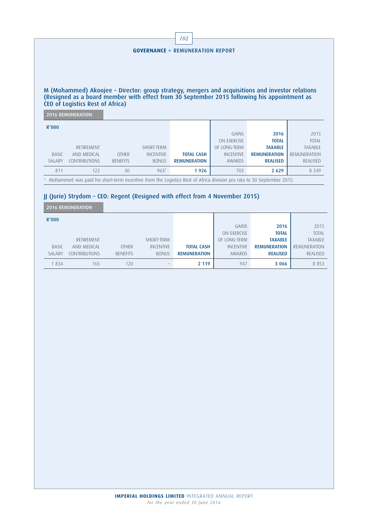| <b>GOVERNANCE &gt; REMUNERATION REPORT</b> |                          |                 |                  |                                                                                                                                                                                                 |                  |                     |                |  |  |
|--------------------------------------------|--------------------------|-----------------|------------------|-------------------------------------------------------------------------------------------------------------------------------------------------------------------------------------------------|------------------|---------------------|----------------|--|--|
|                                            |                          |                 |                  |                                                                                                                                                                                                 |                  |                     |                |  |  |
|                                            |                          |                 |                  |                                                                                                                                                                                                 |                  |                     |                |  |  |
|                                            |                          |                 |                  |                                                                                                                                                                                                 |                  |                     |                |  |  |
|                                            |                          |                 |                  |                                                                                                                                                                                                 |                  |                     |                |  |  |
|                                            |                          |                 |                  | M (Mohammed) Akoojee - Director: group strategy, mergers and acquisitions and investor relations<br>(Resigned as a board member with effect from 30 September 2015 following his appointment as |                  |                     |                |  |  |
|                                            |                          |                 |                  |                                                                                                                                                                                                 |                  |                     |                |  |  |
| CEO of Logistics Rest of Africa)           |                          |                 |                  |                                                                                                                                                                                                 |                  |                     |                |  |  |
|                                            |                          |                 |                  |                                                                                                                                                                                                 |                  |                     |                |  |  |
|                                            | <b>2016 REMUNERATION</b> |                 |                  |                                                                                                                                                                                                 |                  |                     |                |  |  |
|                                            |                          |                 |                  |                                                                                                                                                                                                 |                  |                     |                |  |  |
|                                            |                          |                 |                  |                                                                                                                                                                                                 | GAINS            | 2016                | 2015           |  |  |
|                                            |                          |                 |                  |                                                                                                                                                                                                 | ON EXERCISE      | <b>TOTAL</b>        | <b>TOTAL</b>   |  |  |
|                                            | RETIREMENT               |                 | SHORT-TERM       |                                                                                                                                                                                                 | OF LONG-TERM     | <b>TAXABLE</b>      | <b>TAXABLE</b> |  |  |
| R'000<br><b>BASIC</b>                      | AND MEDICAL              | <b>OTHER</b>    | <b>INCENTIVE</b> | <b>TOTAL CASH</b>                                                                                                                                                                               | <b>INCENTIVE</b> | <b>REMUNERATION</b> | REMUNERATION   |  |  |
| <b>SALARY</b>                              | CONTRIBUTIONS            | <b>BENFFITS</b> | <b>BONUS</b>     | <b>REMUNERATION</b>                                                                                                                                                                             | AWARDS           | <b>REALISED</b>     | REALISED       |  |  |
| 811                                        | 122                      | 30              | 963 <sup>1</sup> | 1926                                                                                                                                                                                            | 703              | 2 6 2 9             | 8 2 4 9        |  |  |

H

 $\mathsf{r}$ 

### JJ (Jurie) Strydom – CEO: Regent (Resigned with effect from 4 November 2015)

2016 REMUNERATION

| R'000        |                      |                 |                  |                     |                  |                     |                |
|--------------|----------------------|-----------------|------------------|---------------------|------------------|---------------------|----------------|
|              |                      |                 |                  |                     | GAINS            | 2016                | 2015           |
|              |                      |                 |                  |                     | ON EXERCISE      | <b>TOTAL</b>        | <b>TOTAL</b>   |
|              | RETIREMENT           |                 | SHORT-TERM       |                     | OF LONG-TERM     | <b>TAXABLE</b>      | <b>TAXABLE</b> |
| <b>BASIC</b> | AND MEDICAL          | <b>OTHER</b>    | <b>INCENTIVE</b> | <b>TOTAL CASH</b>   | <b>INCENTIVE</b> | <b>REMUNERATION</b> | REMUNERATION   |
| SALARY       | <b>CONTRIBUTIONS</b> | <b>BENFFITS</b> | <b>BONUS</b>     | <b>REMUNERATION</b> | AWARDS           | <b>REALISED</b>     | REALISED       |
| 834          | 165                  | 120             |                  | 2 1 1 9             | 947              | 3 0 6 6             | 8 8 5 3        |